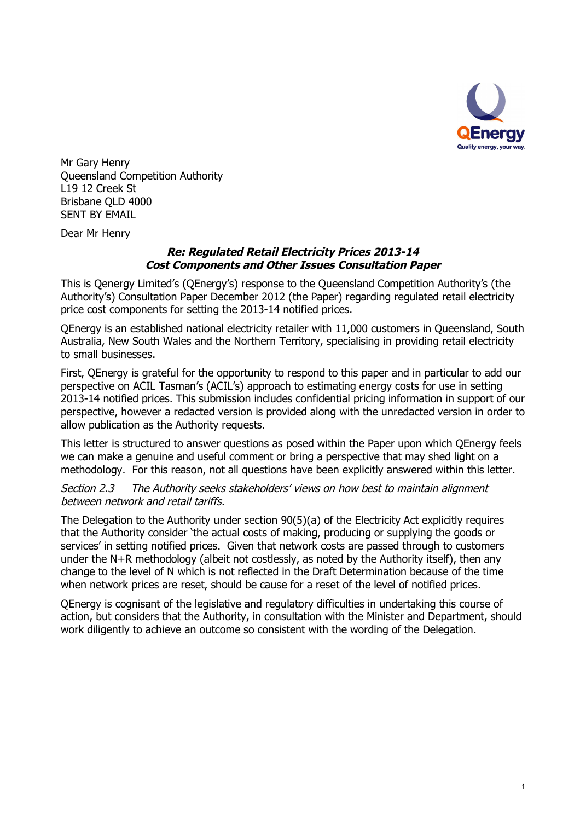

Mr Gary Henry Queensland Competition Authority L19 12 Creek St Brisbane QLD 4000 SENT BY EMAIL

Dear Mr Henry

### *Re: Regulated Retail Electricity Prices 2013-14 Cost Components and Other Issues Consultation Paper*

This is Qenergy Limited's (QEnergy's) response to the Queensland Competition Authority's (the Authority's) Consultation Paper December 2012 (the Paper) regarding regulated retail electricity price cost components for setting the 2013-14 notified prices.

QEnergy is an established national electricity retailer with 11,000 customers in Queensland, South Australia, New South Wales and the Northern Territory, specialising in providing retail electricity to small businesses.

First, QEnergy is grateful for the opportunity to respond to this paper and in particular to add our perspective on ACIL Tasman's (ACIL's) approach to estimating energy costs for use in setting 2013-14 notified prices. This submission includes confidential pricing information in support of our perspective, however a redacted version is provided along with the unredacted version in order to allow publication as the Authority requests.

This letter is structured to answer questions as posed within the Paper upon which QEnergy feels we can make a genuine and useful comment or bring a perspective that may shed light on a methodology. For this reason, not all questions have been explicitly answered within this letter.

*Section 2.3 The Authority seeks stakeholders' views on how best to maintain alignment between network and retail tariffs.*

The Delegation to the Authority under section 90(5)(a) of the Electricity Act explicitly requires that the Authority consider 'the actual costs of making, producing or supplying the goods or services' in setting notified prices. Given that network costs are passed through to customers under the N+R methodology (albeit not costlessly, as noted by the Authority itself), then any change to the level of N which is not reflected in the Draft Determination because of the time when network prices are reset, should be cause for a reset of the level of notified prices.

QEnergy is cognisant of the legislative and regulatory difficulties in undertaking this course of action, but considers that the Authority, in consultation with the Minister and Department, should work diligently to achieve an outcome so consistent with the wording of the Delegation.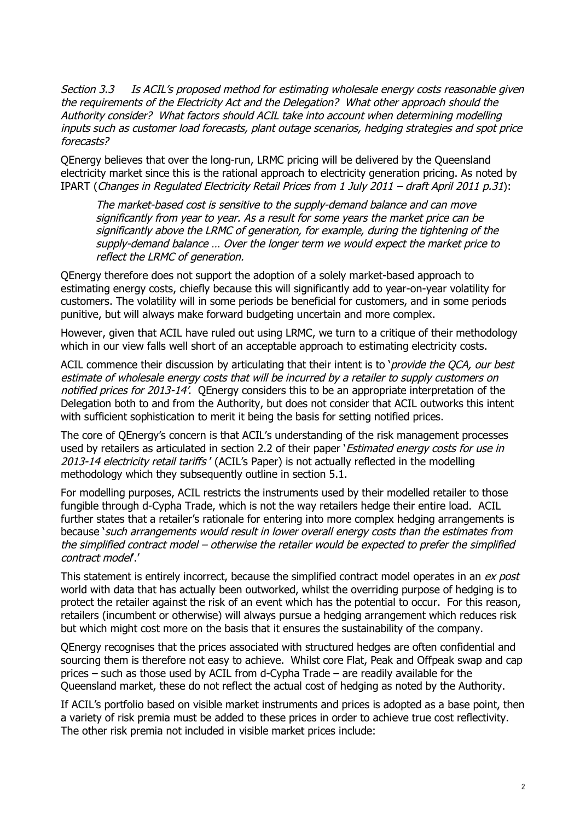*Section 3.3 Is ACIL's proposed method for estimating wholesale energy costs reasonable given the requirements of the Electricity Act and the Delegation? What other approach should the Authority consider? What factors should ACIL take into account when determining modelling inputs such as customer load forecasts, plant outage scenarios, hedging strategies and spot price forecasts?*

QEnergy believes that over the long-run, LRMC pricing will be delivered by the Queensland electricity market since this is the rational approach to electricity generation pricing. As noted by IPART (*Changes in Regulated Electricity Retail Prices from 1 July 2011 – draft April 2011 p.31*):

*The market-based cost is sensitive to the supply-demand balance and can move significantly from year to year. As a result for some years the market price can be significantly above the LRMC of generation, for example, during the tightening of the supply-demand balance … Over the longer term we would expect the market price to reflect the LRMC of generation.*

QEnergy therefore does not support the adoption of a solely market-based approach to estimating energy costs, chiefly because this will significantly add to year-on-year volatility for customers. The volatility will in some periods be beneficial for customers, and in some periods punitive, but will always make forward budgeting uncertain and more complex.

However, given that ACIL have ruled out using LRMC, we turn to a critique of their methodology which in our view falls well short of an acceptable approach to estimating electricity costs.

ACIL commence their discussion by articulating that their intent is to '*provide the QCA, our best estimate of wholesale energy costs that will be incurred by a retailer to supply customers on notified prices for 2013-14'*. QEnergy considers this to be an appropriate interpretation of the Delegation both to and from the Authority, but does not consider that ACIL outworks this intent with sufficient sophistication to merit it being the basis for setting notified prices.

The core of QEnergy's concern is that ACIL's understanding of the risk management processes used by retailers as articulated in section 2.2 of their paper '*Estimated energy costs for use in 2013-14 electricity retail tariffs* ' (ACIL's Paper) is not actually reflected in the modelling methodology which they subsequently outline in section 5.1.

For modelling purposes, ACIL restricts the instruments used by their modelled retailer to those fungible through d-Cypha Trade, which is not the way retailers hedge their entire load. ACIL further states that a retailer's rationale for entering into more complex hedging arrangements is because '*such arrangements would result in lower overall energy costs than the estimates from the simplified contract model – otherwise the retailer would be expected to prefer the simplified contract model*'.'

This statement is entirely incorrect, because the simplified contract model operates in an *ex post* world with data that has actually been outworked, whilst the overriding purpose of hedging is to protect the retailer against the risk of an event which has the potential to occur. For this reason, retailers (incumbent or otherwise) will always pursue a hedging arrangement which reduces risk but which might cost more on the basis that it ensures the sustainability of the company.

QEnergy recognises that the prices associated with structured hedges are often confidential and sourcing them is therefore not easy to achieve. Whilst core Flat, Peak and Offpeak swap and cap prices – such as those used by ACIL from d-Cypha Trade – are readily available for the Queensland market, these do not reflect the actual cost of hedging as noted by the Authority.

If ACIL's portfolio based on visible market instruments and prices is adopted as a base point, then a variety of risk premia must be added to these prices in order to achieve true cost reflectivity. The other risk premia not included in visible market prices include: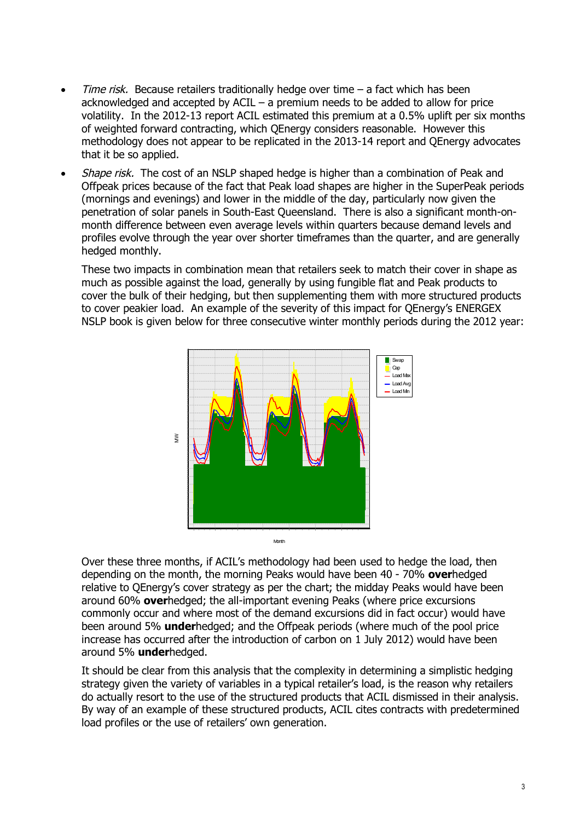- *Time risk.* Because retailers traditionally hedge over time a fact which has been acknowledged and accepted by ACIL – a premium needs to be added to allow for price volatility. In the 2012-13 report ACIL estimated this premium at a 0.5% uplift per six months of weighted forward contracting, which QEnergy considers reasonable. However this methodology does not appear to be replicated in the 2013-14 report and QEnergy advocates that it be so applied.
- *Shape risk.* The cost of an NSLP shaped hedge is higher than a combination of Peak and Offpeak prices because of the fact that Peak load shapes are higher in the SuperPeak periods (mornings and evenings) and lower in the middle of the day, particularly now given the penetration of solar panels in South-East Queensland. There is also a significant month-onmonth difference between even average levels within quarters because demand levels and profiles evolve through the year over shorter timeframes than the quarter, and are generally hedged monthly.

These two impacts in combination mean that retailers seek to match their cover in shape as much as possible against the load, generally by using fungible flat and Peak products to cover the bulk of their hedging, but then supplementing them with more structured products to cover peakier load. An example of the severity of this impact for QEnergy's ENERGEX NSLP book is given below for three consecutive winter monthly periods during the 2012 year:



Over these three months, if ACIL's methodology had been used to hedge the load, then depending on the month, the morning Peaks would have been 40 - 70% **over**hedged relative to QEnergy's cover strategy as per the chart; the midday Peaks would have been around 60% **over**hedged; the all-important evening Peaks (where price excursions commonly occur and where most of the demand excursions did in fact occur) would have been around 5% **under**hedged; and the Offpeak periods (where much of the pool price increase has occurred after the introduction of carbon on 1 July 2012) would have been around 5% **under**hedged.

It should be clear from this analysis that the complexity in determining a simplistic hedging strategy given the variety of variables in a typical retailer's load, is the reason why retailers do actually resort to the use of the structured products that ACIL dismissed in their analysis. By way of an example of these structured products, ACIL cites contracts with predetermined load profiles or the use of retailers' own generation.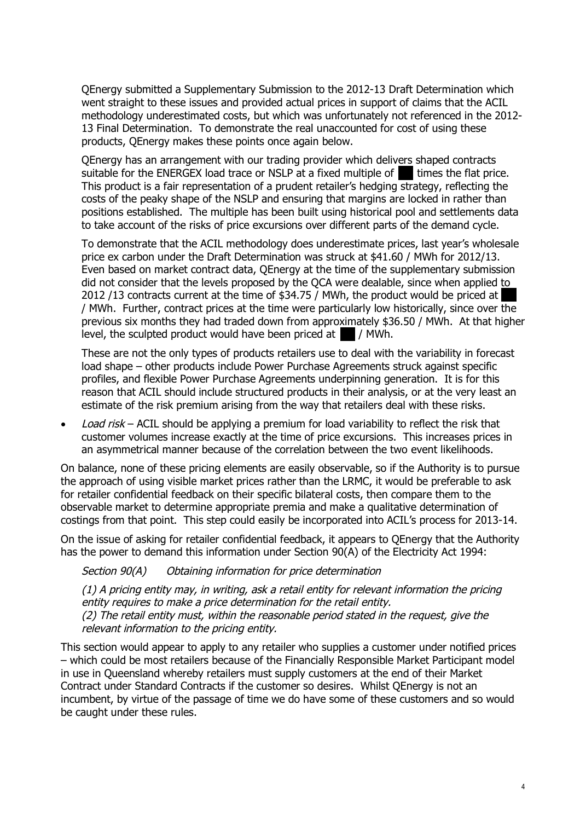QEnergy submitted a Supplementary Submission to the 2012-13 Draft Determination which went straight to these issues and provided actual prices in support of claims that the ACIL methodology underestimated costs, but which was unfortunately not referenced in the 2012- 13 Final Determination. To demonstrate the real unaccounted for cost of using these products, QEnergy makes these points once again below.

QEnergy has an arrangement with our trading provider which delivers shaped contracts suitable for the ENERGEX load trace or NSLP at a fixed multiple of  $\blacksquare$  times the flat price. This product is a fair representation of a prudent retailer's hedging strategy, reflecting the costs of the peaky shape of the NSLP and ensuring that margins are locked in rather than positions established. The multiple has been built using historical pool and settlements data to take account of the risks of price excursions over different parts of the demand cycle.

To demonstrate that the ACIL methodology does underestimate prices, last year's wholesale price ex carbon under the Draft Determination was struck at \$41.60 / MWh for 2012/13. Even based on market contract data, QEnergy at the time of the supplementary submission did not consider that the levels proposed by the QCA were dealable, since when applied to 2012 /13 contracts current at the time of \$34.75 / MWh, the product would be priced at / MWh. Further, contract prices at the time were particularly low historically, since over the previous six months they had traded down from approximately \$36.50 / MWh. At that higher level, the sculpted product would have been priced at  $\blacksquare$  / MWh.

These are not the only types of products retailers use to deal with the variability in forecast load shape – other products include Power Purchase Agreements struck against specific profiles, and flexible Power Purchase Agreements underpinning generation. It is for this reason that ACIL should include structured products in their analysis, or at the very least an estimate of the risk premium arising from the way that retailers deal with these risks.

 *Load risk* – ACIL should be applying a premium for load variability to reflect the risk that customer volumes increase exactly at the time of price excursions. This increases prices in an asymmetrical manner because of the correlation between the two event likelihoods.

On balance, none of these pricing elements are easily observable, so if the Authority is to pursue the approach of using visible market prices rather than the LRMC, it would be preferable to ask for retailer confidential feedback on their specific bilateral costs, then compare them to the observable market to determine appropriate premia and make a qualitative determination of costings from that point. This step could easily be incorporated into ACIL's process for 2013-14.

On the issue of asking for retailer confidential feedback, it appears to QEnergy that the Authority has the power to demand this information under Section 90(A) of the Electricity Act 1994:

*Section 90(A) Obtaining information for price determination*

*(1) A pricing entity may, in writing, ask a retail entity for relevant information the pricing entity requires to make a price determination for the retail entity. (2) The retail entity must, within the reasonable period stated in the request, give the relevant information to the pricing entity.*

This section would appear to apply to any retailer who supplies a customer under notified prices – which could be most retailers because of the Financially Responsible Market Participant model in use in Queensland whereby retailers must supply customers at the end of their Market Contract under Standard Contracts if the customer so desires. Whilst QEnergy is not an incumbent, by virtue of the passage of time we do have some of these customers and so would be caught under these rules.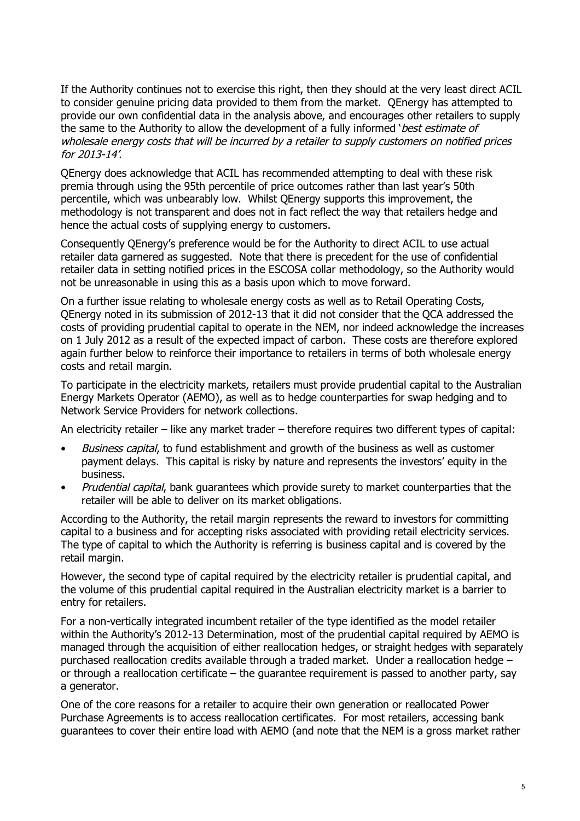If the Authority continues not to exercise this right, then they should at the very least direct ACIL to consider genuine pricing data provided to them from the market. QEnergy has attempted to provide our own confidential data in the analysis above, and encourages other retailers to supply the same to the Authority to allow the development of a fully informed '*best estimate of wholesale energy costs that will be incurred by a retailer to supply customers on notified prices for 2013-14'*.

QEnergy does acknowledge that ACIL has recommended attempting to deal with these risk premia through using the 95th percentile of price outcomes rather than last year's 50th percentile, which was unbearably low. Whilst QEnergy supports this improvement, the methodology is not transparent and does not in fact reflect the way that retailers hedge and hence the actual costs of supplying energy to customers.

Consequently QEnergy's preference would be for the Authority to direct ACIL to use actual retailer data garnered as suggested. Note that there is precedent for the use of confidential retailer data in setting notified prices in the ESCOSA collar methodology, so the Authority would not be unreasonable in using this as a basis upon which to move forward.

On a further issue relating to wholesale energy costs as well as to Retail Operating Costs, QEnergy noted in its submission of 2012-13 that it did not consider that the QCA addressed the costs of providing prudential capital to operate in the NEM, nor indeed acknowledge the increases on 1 July 2012 as a result of the expected impact of carbon. These costs are therefore explored again further below to reinforce their importance to retailers in terms of both wholesale energy costs and retail margin.

To participate in the electricity markets, retailers must provide prudential capital to the Australian Energy Markets Operator (AEMO), as well as to hedge counterparties for swap hedging and to Network Service Providers for network collections.

An electricity retailer – like any market trader – therefore requires two different types of capital:

- *Business capital*, to fund establishment and growth of the business as well as customer payment delays. This capital is risky by nature and represents the investors' equity in the business.
- *Prudential capital*, bank guarantees which provide surety to market counterparties that the retailer will be able to deliver on its market obligations.

According to the Authority, the retail margin represents the reward to investors for committing capital to a business and for accepting risks associated with providing retail electricity services. The type of capital to which the Authority is referring is business capital and is covered by the retail margin.

However, the second type of capital required by the electricity retailer is prudential capital, and the volume of this prudential capital required in the Australian electricity market is a barrier to entry for retailers.

For a non-vertically integrated incumbent retailer of the type identified as the model retailer within the Authority's 2012-13 Determination, most of the prudential capital required by AEMO is managed through the acquisition of either reallocation hedges, or straight hedges with separately purchased reallocation credits available through a traded market. Under a reallocation hedge – or through a reallocation certificate – the guarantee requirement is passed to another party, say a generator.

One of the core reasons for a retailer to acquire their own generation or reallocated Power Purchase Agreements is to access reallocation certificates. For most retailers, accessing bank guarantees to cover their entire load with AEMO (and note that the NEM is a gross market rather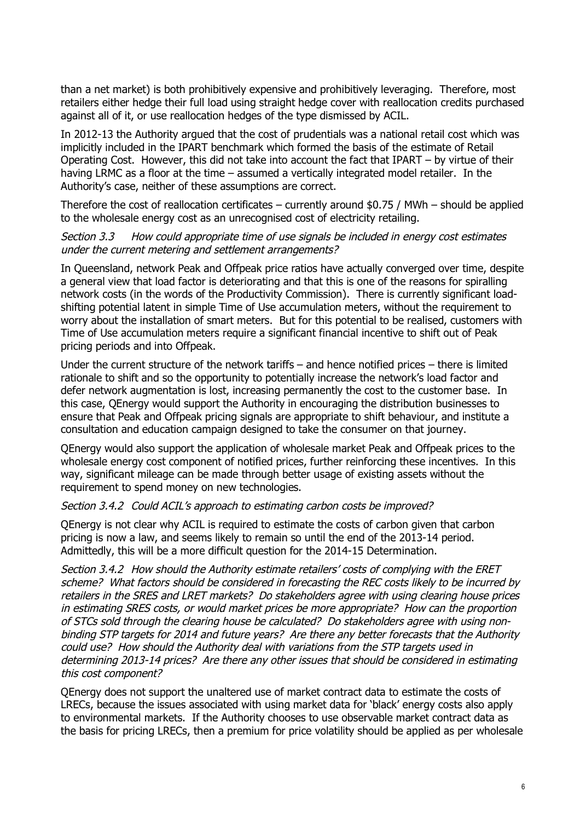than a net market) is both prohibitively expensive and prohibitively leveraging. Therefore, most retailers either hedge their full load using straight hedge cover with reallocation credits purchased against all of it, or use reallocation hedges of the type dismissed by ACIL.

In 2012-13 the Authority argued that the cost of prudentials was a national retail cost which was implicitly included in the IPART benchmark which formed the basis of the estimate of Retail Operating Cost. However, this did not take into account the fact that IPART – by virtue of their having LRMC as a floor at the time – assumed a vertically integrated model retailer. In the Authority's case, neither of these assumptions are correct.

Therefore the cost of reallocation certificates – currently around \$0.75 / MWh – should be applied to the wholesale energy cost as an unrecognised cost of electricity retailing.

#### *Section 3.3 How could appropriate time of use signals be included in energy cost estimates under the current metering and settlement arrangements?*

In Queensland, network Peak and Offpeak price ratios have actually converged over time, despite a general view that load factor is deteriorating and that this is one of the reasons for spiralling network costs (in the words of the Productivity Commission). There is currently significant loadshifting potential latent in simple Time of Use accumulation meters, without the requirement to worry about the installation of smart meters. But for this potential to be realised, customers with Time of Use accumulation meters require a significant financial incentive to shift out of Peak pricing periods and into Offpeak.

Under the current structure of the network tariffs – and hence notified prices – there is limited rationale to shift and so the opportunity to potentially increase the network's load factor and defer network augmentation is lost, increasing permanently the cost to the customer base. In this case, QEnergy would support the Authority in encouraging the distribution businesses to ensure that Peak and Offpeak pricing signals are appropriate to shift behaviour, and institute a consultation and education campaign designed to take the consumer on that journey.

QEnergy would also support the application of wholesale market Peak and Offpeak prices to the wholesale energy cost component of notified prices, further reinforcing these incentives. In this way, significant mileage can be made through better usage of existing assets without the requirement to spend money on new technologies.

#### *Section 3.4.2 Could ACIL's approach to estimating carbon costs be improved?*

QEnergy is not clear why ACIL is required to estimate the costs of carbon given that carbon pricing is now a law, and seems likely to remain so until the end of the 2013-14 period. Admittedly, this will be a more difficult question for the 2014-15 Determination.

*Section 3.4.2 How should the Authority estimate retailers' costs of complying with the ERET scheme? What factors should be considered in forecasting the REC costs likely to be incurred by retailers in the SRES and LRET markets? Do stakeholders agree with using clearing house prices in estimating SRES costs, or would market prices be more appropriate? How can the proportion of STCs sold through the clearing house be calculated? Do stakeholders agree with using nonbinding STP targets for 2014 and future years? Are there any better forecasts that the Authority could use? How should the Authority deal with variations from the STP targets used in determining 2013-14 prices? Are there any other issues that should be considered in estimating this cost component?*

QEnergy does not support the unaltered use of market contract data to estimate the costs of LRECs, because the issues associated with using market data for 'black' energy costs also apply to environmental markets. If the Authority chooses to use observable market contract data as the basis for pricing LRECs, then a premium for price volatility should be applied as per wholesale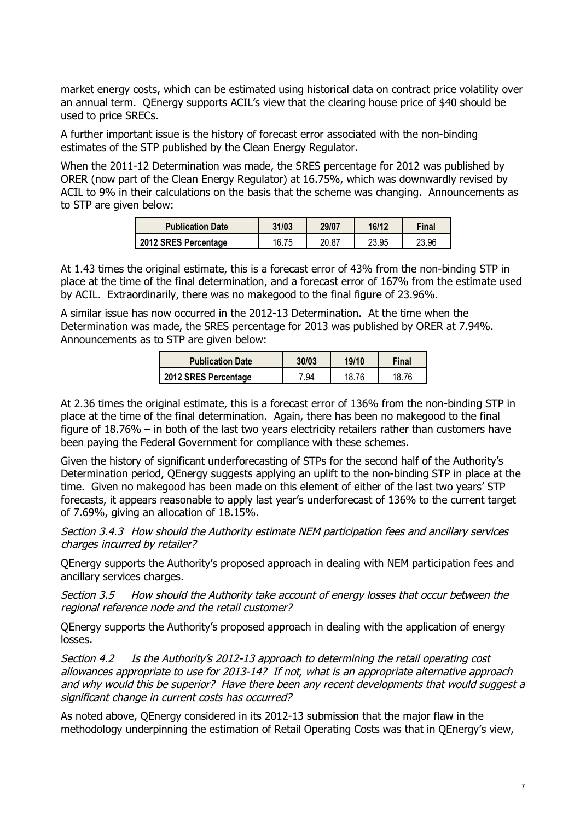market energy costs, which can be estimated using historical data on contract price volatility over an annual term. QEnergy supports ACIL's view that the clearing house price of \$40 should be used to price SRECs.

A further important issue is the history of forecast error associated with the non-binding estimates of the STP published by the Clean Energy Regulator.

When the 2011-12 Determination was made, the SRES percentage for 2012 was published by ORER (now part of the Clean Energy Regulator) at 16.75%, which was downwardly revised by ACIL to 9% in their calculations on the basis that the scheme was changing. Announcements as to STP are given below:

| <b>Publication Date</b> | 31/03 | 29/07 | 16/12 | Final |
|-------------------------|-------|-------|-------|-------|
| 2012 SRES Percentage    | 16.75 | 20.87 | 23.95 | 23.96 |

At 1.43 times the original estimate, this is a forecast error of 43% from the non-binding STP in place at the time of the final determination, and a forecast error of 167% from the estimate used by ACIL. Extraordinarily, there was no makegood to the final figure of 23.96%.

A similar issue has now occurred in the 2012-13 Determination. At the time when the Determination was made, the SRES percentage for 2013 was published by ORER at 7.94%. Announcements as to STP are given below:

| <b>Publication Date</b> | 30/03 | 19/10 | Final |
|-------------------------|-------|-------|-------|
| 2012 SRES Percentage    | ' 94  | 18.76 | 18 76 |

At 2.36 times the original estimate, this is a forecast error of 136% from the non-binding STP in place at the time of the final determination. Again, there has been no makegood to the final figure of 18.76% – in both of the last two years electricity retailers rather than customers have been paying the Federal Government for compliance with these schemes.

Given the history of significant underforecasting of STPs for the second half of the Authority's Determination period, QEnergy suggests applying an uplift to the non-binding STP in place at the time. Given no makegood has been made on this element of either of the last two years' STP forecasts, it appears reasonable to apply last year's underforecast of 136% to the current target of 7.69%, giving an allocation of 18.15%.

*Section 3.4.3 How should the Authority estimate NEM participation fees and ancillary services charges incurred by retailer?* 

QEnergy supports the Authority's proposed approach in dealing with NEM participation fees and ancillary services charges.

*Section 3.5 How should the Authority take account of energy losses that occur between the regional reference node and the retail customer?* 

QEnergy supports the Authority's proposed approach in dealing with the application of energy losses.

*Section 4.2 Is the Authority's 2012-13 approach to determining the retail operating cost allowances appropriate to use for 2013-14? If not, what is an appropriate alternative approach and why would this be superior? Have there been any recent developments that would suggest a significant change in current costs has occurred?* 

As noted above, QEnergy considered in its 2012-13 submission that the major flaw in the methodology underpinning the estimation of Retail Operating Costs was that in QEnergy's view,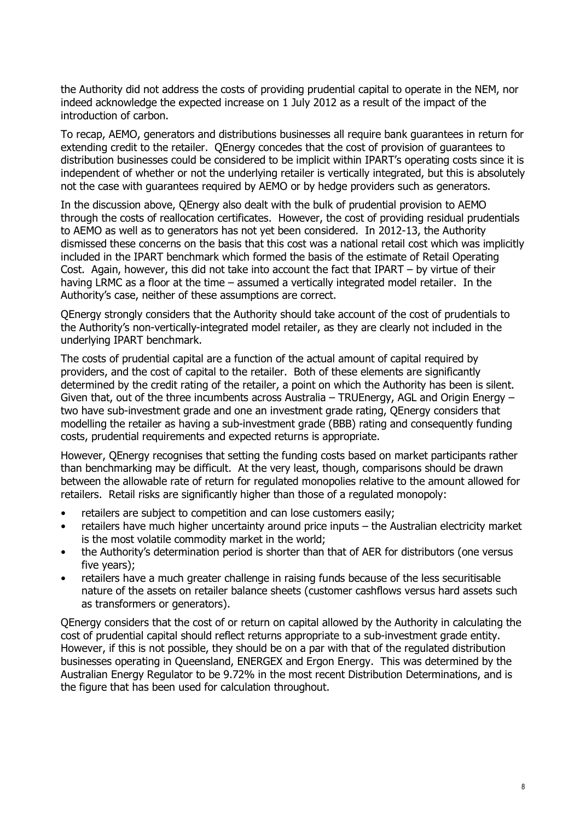the Authority did not address the costs of providing prudential capital to operate in the NEM, nor indeed acknowledge the expected increase on 1 July 2012 as a result of the impact of the introduction of carbon.

To recap, AEMO, generators and distributions businesses all require bank guarantees in return for extending credit to the retailer. QEnergy concedes that the cost of provision of guarantees to distribution businesses could be considered to be implicit within IPART's operating costs since it is independent of whether or not the underlying retailer is vertically integrated, but this is absolutely not the case with guarantees required by AEMO or by hedge providers such as generators.

In the discussion above, QEnergy also dealt with the bulk of prudential provision to AEMO through the costs of reallocation certificates. However, the cost of providing residual prudentials to AEMO as well as to generators has not yet been considered. In 2012-13, the Authority dismissed these concerns on the basis that this cost was a national retail cost which was implicitly included in the IPART benchmark which formed the basis of the estimate of Retail Operating Cost. Again, however, this did not take into account the fact that IPART – by virtue of their having LRMC as a floor at the time – assumed a vertically integrated model retailer. In the Authority's case, neither of these assumptions are correct.

QEnergy strongly considers that the Authority should take account of the cost of prudentials to the Authority's non-vertically-integrated model retailer, as they are clearly not included in the underlying IPART benchmark.

The costs of prudential capital are a function of the actual amount of capital required by providers, and the cost of capital to the retailer. Both of these elements are significantly determined by the credit rating of the retailer, a point on which the Authority has been is silent. Given that, out of the three incumbents across Australia – TRUEnergy, AGL and Origin Energy – two have sub-investment grade and one an investment grade rating, QEnergy considers that modelling the retailer as having a sub-investment grade (BBB) rating and consequently funding costs, prudential requirements and expected returns is appropriate.

However, QEnergy recognises that setting the funding costs based on market participants rather than benchmarking may be difficult. At the very least, though, comparisons should be drawn between the allowable rate of return for regulated monopolies relative to the amount allowed for retailers. Retail risks are significantly higher than those of a regulated monopoly:

- retailers are subject to competition and can lose customers easily;
- retailers have much higher uncertainty around price inputs the Australian electricity market is the most volatile commodity market in the world;
- the Authority's determination period is shorter than that of AER for distributors (one versus five years);
- retailers have a much greater challenge in raising funds because of the less securitisable nature of the assets on retailer balance sheets (customer cashflows versus hard assets such as transformers or generators).

QEnergy considers that the cost of or return on capital allowed by the Authority in calculating the cost of prudential capital should reflect returns appropriate to a sub-investment grade entity. However, if this is not possible, they should be on a par with that of the regulated distribution businesses operating in Queensland, ENERGEX and Ergon Energy. This was determined by the Australian Energy Regulator to be 9.72% in the most recent Distribution Determinations, and is the figure that has been used for calculation throughout.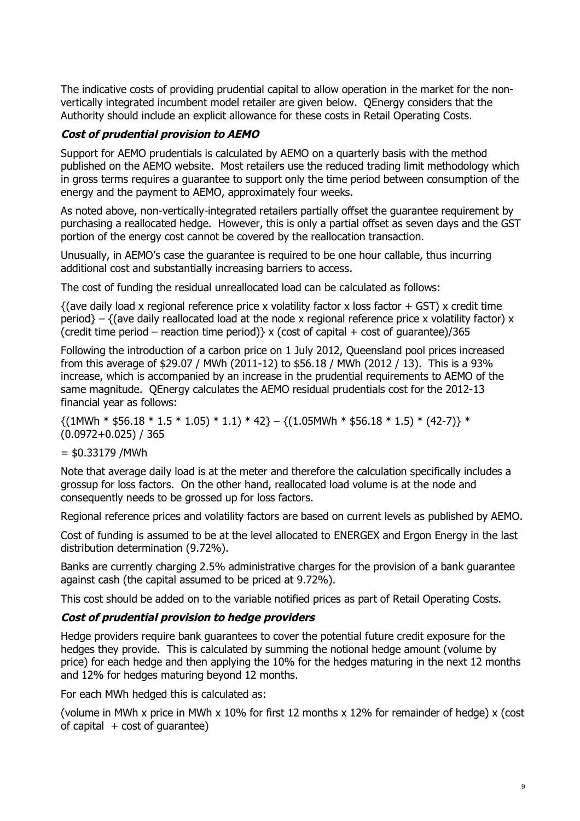The indicative costs of providing prudential capital to allow operation in the market for the nonvertically integrated incumbent model retailer are given below. QEnergy considers that the Authority should include an explicit allowance for these costs in Retail Operating Costs.

# *Cost of prudential provision to AEMO*

Support for AEMO prudentials is calculated by AEMO on a quarterly basis with the method published on the AEMO website. Most retailers use the reduced trading limit methodology which in gross terms requires a guarantee to support only the time period between consumption of the energy and the payment to AEMO, approximately four weeks.

As noted above, non-vertically-integrated retailers partially offset the guarantee requirement by purchasing a reallocated hedge. However, this is only a partial offset as seven days and the GST portion of the energy cost cannot be covered by the reallocation transaction.

Unusually, in AEMO's case the guarantee is required to be one hour callable, thus incurring additional cost and substantially increasing barriers to access.

The cost of funding the residual unreallocated load can be calculated as follows:

 $\{(ave daily load x regional reference price x volatility factor x loss factor + GST) x credit time$ period} – {(ave daily reallocated load at the node x regional reference price x volatility factor) x (credit time period – reaction time period)  $\times$  (cost of capital + cost of quarantee)/365

Following the introduction of a carbon price on 1 July 2012, Queensland pool prices increased from this average of \$29.07 / MWh (2011-12) to \$56.18 / MWh (2012 / 13). This is a 93% increase, which is accompanied by an increase in the prudential requirements to AEMO of the same magnitude. QEnergy calculates the AEMO residual prudentials cost for the 2012-13 financial year as follows:

 ${(1MWh * $56.18 * 1.5 * 1.05) * 1.1} * 42} - {(1.05MWh * $56.18 * 1.5) * (42-7)} *$ (0.0972+0.025) / 365

# $= $0.33179 / MWh$

Note that average daily load is at the meter and therefore the calculation specifically includes a grossup for loss factors. On the other hand, reallocated load volume is at the node and consequently needs to be grossed up for loss factors.

Regional reference prices and volatility factors are based on current levels as published by AEMO.

Cost of funding is assumed to be at the level allocated to ENERGEX and Ergon Energy in the last distribution determination (9.72%).

Banks are currently charging 2.5% administrative charges for the provision of a bank guarantee against cash (the capital assumed to be priced at 9.72%).

This cost should be added on to the variable notified prices as part of Retail Operating Costs.

# *Cost of prudential provision to hedge providers*

Hedge providers require bank guarantees to cover the potential future credit exposure for the hedges they provide. This is calculated by summing the notional hedge amount (volume by price) for each hedge and then applying the 10% for the hedges maturing in the next 12 months and 12% for hedges maturing beyond 12 months.

For each MWh hedged this is calculated as:

(volume in MWh x price in MWh x 10% for first 12 months x 12% for remainder of hedge) x (cost of capital  $+ \text{cost}$  of quarantee)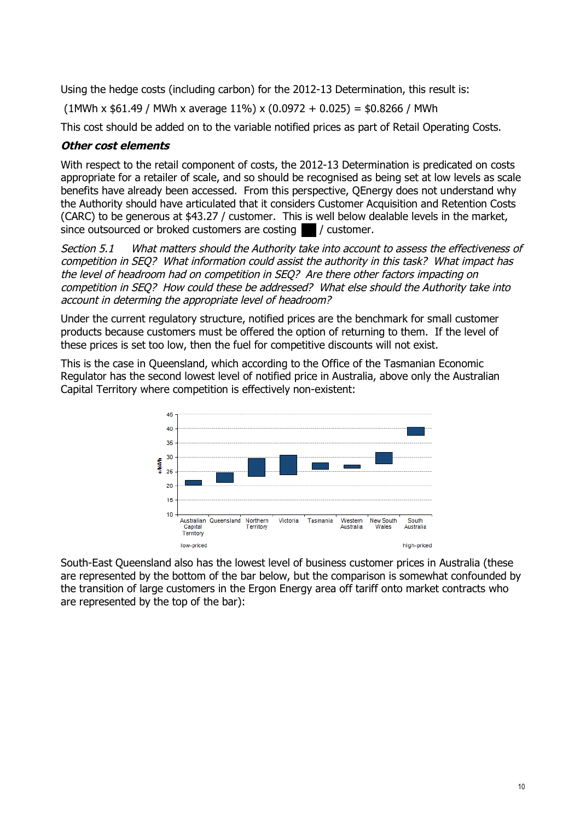Using the hedge costs (including carbon) for the 2012-13 Determination, this result is:

 $(1$ MWh x \$61.49 / MWh x average 11%) x  $(0.0972 + 0.025) = $0.8266$  / MWh

This cost should be added on to the variable notified prices as part of Retail Operating Costs.

### *Other cost elements*

With respect to the retail component of costs, the 2012-13 Determination is predicated on costs appropriate for a retailer of scale, and so should be recognised as being set at low levels as scale benefits have already been accessed. From this perspective, QEnergy does not understand why the Authority should have articulated that it considers Customer Acquisition and Retention Costs (CARC) to be generous at \$43.27 / customer. This is well below dealable levels in the market, since outsourced or broked customers are costing **1** / customer.

*Section 5.1 What matters should the Authority take into account to assess the effectiveness of competition in SEQ? What information could assist the authority in this task? What impact has the level of headroom had on competition in SEQ? Are there other factors impacting on competition in SEQ? How could these be addressed? What else should the Authority take into account in determing the appropriate level of headroom?*

Under the current regulatory structure, notified prices are the benchmark for small customer products because customers must be offered the option of returning to them. If the level of these prices is set too low, then the fuel for competitive discounts will not exist.

This is the case in Queensland, which according to the Office of the Tasmanian Economic Regulator has the second lowest level of notified price in Australia, above only the Australian Capital Territory where competition is effectively non-existent:



South-East Queensland also has the lowest level of business customer prices in Australia (these are represented by the bottom of the bar below, but the comparison is somewhat confounded by the transition of large customers in the Ergon Energy area off tariff onto market contracts who are represented by the top of the bar):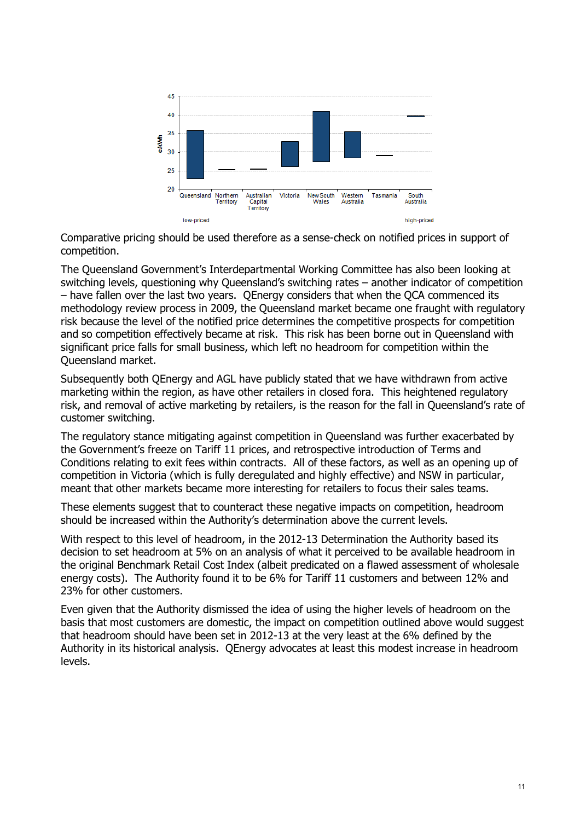

Comparative pricing should be used therefore as a sense-check on notified prices in support of competition.

The Queensland Government's Interdepartmental Working Committee has also been looking at switching levels, questioning why Queensland's switching rates – another indicator of competition – have fallen over the last two years. QEnergy considers that when the QCA commenced its methodology review process in 2009, the Queensland market became one fraught with regulatory risk because the level of the notified price determines the competitive prospects for competition and so competition effectively became at risk. This risk has been borne out in Queensland with significant price falls for small business, which left no headroom for competition within the Queensland market.

Subsequently both QEnergy and AGL have publicly stated that we have withdrawn from active marketing within the region, as have other retailers in closed fora. This heightened regulatory risk, and removal of active marketing by retailers, is the reason for the fall in Queensland's rate of customer switching.

The regulatory stance mitigating against competition in Queensland was further exacerbated by the Government's freeze on Tariff 11 prices, and retrospective introduction of Terms and Conditions relating to exit fees within contracts. All of these factors, as well as an opening up of competition in Victoria (which is fully deregulated and highly effective) and NSW in particular, meant that other markets became more interesting for retailers to focus their sales teams.

These elements suggest that to counteract these negative impacts on competition, headroom should be increased within the Authority's determination above the current levels.

With respect to this level of headroom, in the 2012-13 Determination the Authority based its decision to set headroom at 5% on an analysis of what it perceived to be available headroom in the original Benchmark Retail Cost Index (albeit predicated on a flawed assessment of wholesale energy costs). The Authority found it to be 6% for Tariff 11 customers and between 12% and 23% for other customers.

Even given that the Authority dismissed the idea of using the higher levels of headroom on the basis that most customers are domestic, the impact on competition outlined above would suggest that headroom should have been set in 2012-13 at the very least at the 6% defined by the Authority in its historical analysis. QEnergy advocates at least this modest increase in headroom levels.